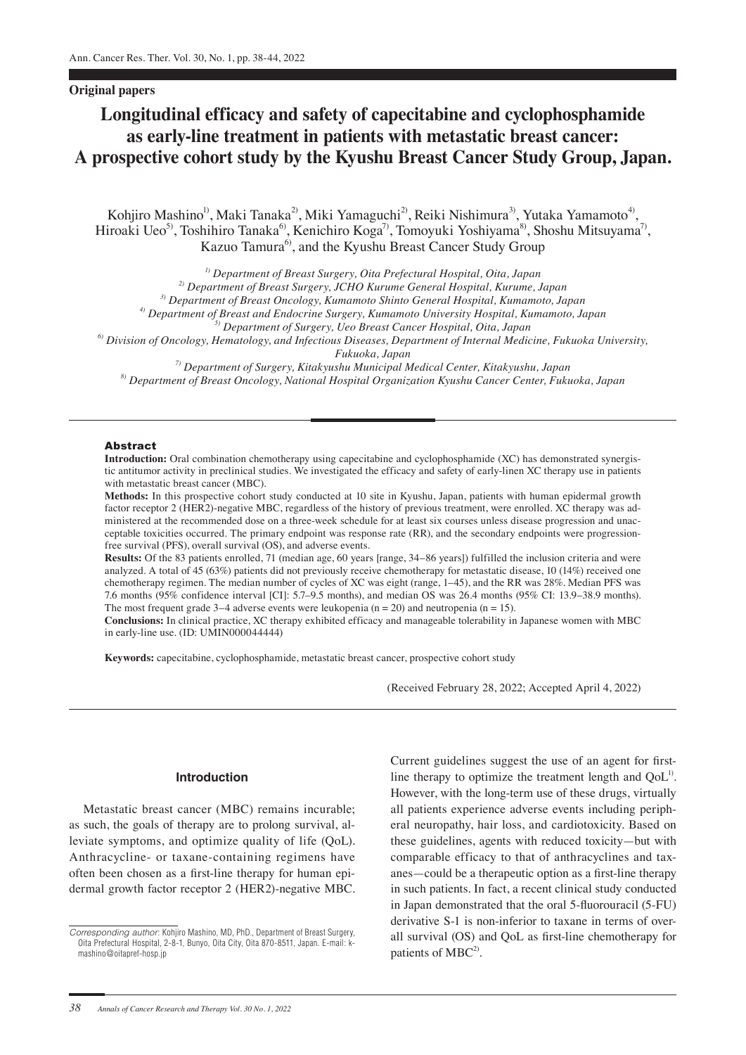# **Original papers**

# **Longitudinal efficacy and safety of capecitabine and cyclophosphamide as early-line treatment in patients with metastatic breast cancer: A prospective cohort study by the Kyushu Breast Cancer Study Group, Japan.**

Kohjiro Mashino<sup>l)</sup>, Maki Tanaka<sup>2)</sup>, Miki Yamaguchi<sup>2)</sup>, Reiki Nishimura<sup>3)</sup>, Yutaka Yamamoto<sup>4)</sup>, Hiroaki Ueo<sup>5)</sup>, Toshihiro Tanaka<sup>6)</sup>, Kenichiro Koga<sup>7)</sup>, Tomoyuki Yoshiyama<sup>8)</sup>, Shoshu Mitsuyama<sup>7)</sup>, Kazuo Tamura<sup>6)</sup>, and the Kyushu Breast Cancer Study Group

*1) Department of Breast Surgery, Oita Prefectural Hospital, Oita, Japan*

*2) Department of Breast Surgery, JCHO Kurume General Hospital, Kurume, Japan*

*3) Department of Breast Oncology, Kumamoto Shinto General Hospital, Kumamoto, Japan*

*4) Department of Breast and Endocrine Surgery, Kumamoto University Hospital, Kumamoto, Japan*

*5) Department of Surgery, Ueo Breast Cancer Hospital, Oita, Japan*

*6) Division of Oncology, Hematology, and Infectious Diseases, Department of Internal Medicine, Fukuoka University,* 

*Fukuoka, Japan*

*7) Department of Surgery, Kitakyushu Municipal Medical Center, Kitakyushu, Japan 8) Department of Breast Oncology, National Hospital Organization Kyushu Cancer Center, Fukuoka, Japan*

#### Abstract

**Introduction:** Oral combination chemotherapy using capecitabine and cyclophosphamide (XC) has demonstrated synergistic antitumor activity in preclinical studies. We investigated the efficacy and safety of early-linen XC therapy use in patients with metastatic breast cancer (MBC).

**Methods:** In this prospective cohort study conducted at 10 site in Kyushu, Japan, patients with human epidermal growth factor receptor 2 (HER2)-negative MBC, regardless of the history of previous treatment, were enrolled. XC therapy was administered at the recommended dose on a three-week schedule for at least six courses unless disease progression and unacceptable toxicities occurred. The primary endpoint was response rate (RR), and the secondary endpoints were progressionfree survival (PFS), overall survival (OS), and adverse events.

**Results:** Of the 83 patients enrolled, 71 (median age, 60 years [range, 34–86 years]) fulfilled the inclusion criteria and were analyzed. A total of 45 (63%) patients did not previously receive chemotherapy for metastatic disease, 10 (14%) received one chemotherapy regimen. The median number of cycles of XC was eight (range, 1–45), and the RR was 28%. Median PFS was 7.6 months (95% confidence interval [CI]: 5.7–9.5 months), and median OS was 26.4 months (95% CI: 13.9–38.9 months). The most frequent grade  $3-4$  adverse events were leukopenia (n = 20) and neutropenia (n = 15).

**Conclusions:** In clinical practice, XC therapy exhibited efficacy and manageable tolerability in Japanese women with MBC in early-line use. (ID: UMIN000044444)

**Keywords:** capecitabine, cyclophosphamide, metastatic breast cancer, prospective cohort study

(Received February 28, 2022; Accepted April 4, 2022)

## **Introduction**

Metastatic breast cancer (MBC) remains incurable; as such, the goals of therapy are to prolong survival, alleviate symptoms, and optimize quality of life (QoL). Anthracycline- or taxane-containing regimens have often been chosen as a first-line therapy for human epidermal growth factor receptor 2 (HER2)-negative MBC. Current guidelines suggest the use of an agent for firstline therapy to optimize the treatment length and  $QoL<sup>1</sup>$ . However, with the long-term use of these drugs, virtually all patients experience adverse events including peripheral neuropathy, hair loss, and cardiotoxicity. Based on these guidelines, agents with reduced toxicity—but with comparable efficacy to that of anthracyclines and taxanes—could be a therapeutic option as a first-line therapy in such patients. In fact, a recent clinical study conducted in Japan demonstrated that the oral 5-fluorouracil (5-FU) derivative S-1 is non-inferior to taxane in terms of overall survival (OS) and QoL as first-line chemotherapy for patients of  $MBC<sup>2</sup>$ .

*Corresponding author*: Kohjiro Mashino, MD, PhD., Department of Breast Surgery, Oita Prefectural Hospital, 2-8-1, Bunyo, Oita City, Oita 870-8511, Japan. E-mail: kmashino@oitapref-hosp.jp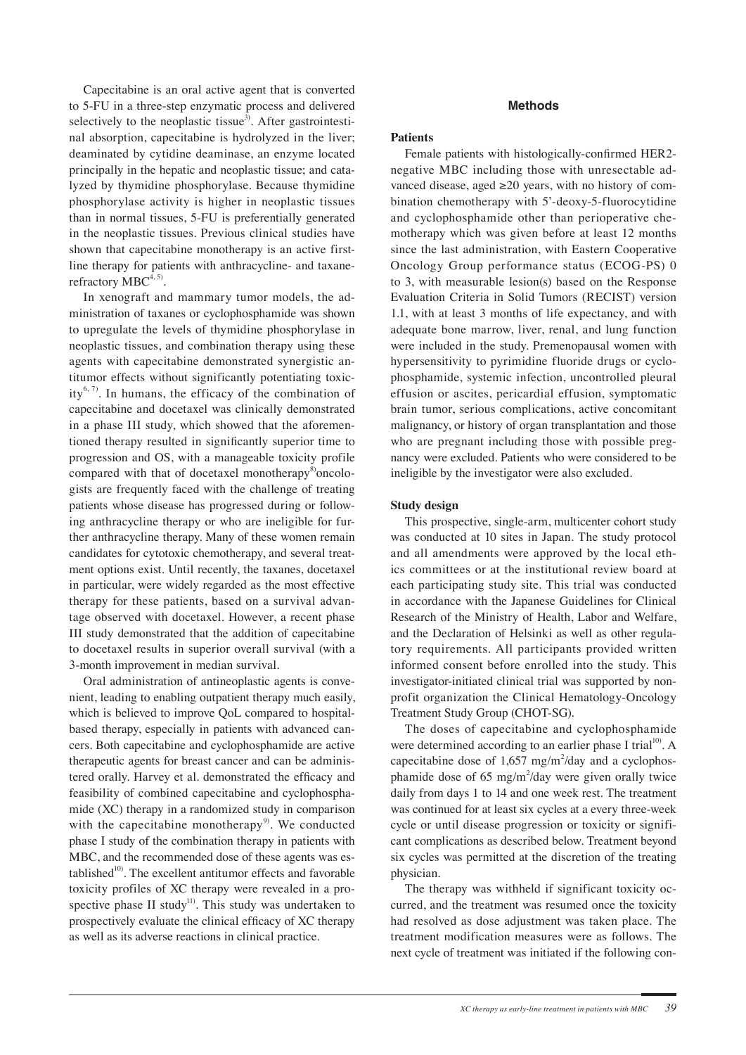Capecitabine is an oral active agent that is converted to 5-FU in a three-step enzymatic process and delivered selectively to the neoplastic tissue<sup>3)</sup>. After gastrointestinal absorption, capecitabine is hydrolyzed in the liver; deaminated by cytidine deaminase, an enzyme located principally in the hepatic and neoplastic tissue; and catalyzed by thymidine phosphorylase. Because thymidine phosphorylase activity is higher in neoplastic tissues than in normal tissues, 5-FU is preferentially generated in the neoplastic tissues. Previous clinical studies have shown that capecitabine monotherapy is an active firstline therapy for patients with anthracycline- and taxanerefractory  $MBC^{4, 5)}$ .

In xenograft and mammary tumor models, the administration of taxanes or cyclophosphamide was shown to upregulate the levels of thymidine phosphorylase in neoplastic tissues, and combination therapy using these agents with capecitabine demonstrated synergistic antitumor effects without significantly potentiating toxicity<sup>6, 7)</sup>. In humans, the efficacy of the combination of capecitabine and docetaxel was clinically demonstrated in a phase III study, which showed that the aforementioned therapy resulted in significantly superior time to progression and OS, with a manageable toxicity profile compared with that of docetaxel monotherapy<sup>8</sup>) oncologists are frequently faced with the challenge of treating patients whose disease has progressed during or following anthracycline therapy or who are ineligible for further anthracycline therapy. Many of these women remain candidates for cytotoxic chemotherapy, and several treatment options exist. Until recently, the taxanes, docetaxel in particular, were widely regarded as the most effective therapy for these patients, based on a survival advantage observed with docetaxel. However, a recent phase III study demonstrated that the addition of capecitabine to docetaxel results in superior overall survival (with a 3-month improvement in median survival.

Oral administration of antineoplastic agents is convenient, leading to enabling outpatient therapy much easily, which is believed to improve QoL compared to hospitalbased therapy, especially in patients with advanced cancers. Both capecitabine and cyclophosphamide are active therapeutic agents for breast cancer and can be administered orally. Harvey et al. demonstrated the efficacy and feasibility of combined capecitabine and cyclophosphamide (XC) therapy in a randomized study in comparison with the capecitabine monotherapy<sup>9</sup>. We conducted phase I study of the combination therapy in patients with MBC, and the recommended dose of these agents was established $10$ <sup>10</sup>. The excellent antitumor effects and favorable toxicity profiles of XC therapy were revealed in a prospective phase II study<sup>11)</sup>. This study was undertaken to prospectively evaluate the clinical efficacy of XC therapy as well as its adverse reactions in clinical practice.

# **Methods**

## **Patients**

Female patients with histologically-confirmed HER2 negative MBC including those with unresectable advanced disease, aged ≥20 years, with no history of combination chemotherapy with 5'-deoxy-5-fluorocytidine and cyclophosphamide other than perioperative chemotherapy which was given before at least 12 months since the last administration, with Eastern Cooperative Oncology Group performance status (ECOG-PS) 0 to 3, with measurable lesion(s) based on the Response Evaluation Criteria in Solid Tumors (RECIST) version 1.1, with at least 3 months of life expectancy, and with adequate bone marrow, liver, renal, and lung function were included in the study. Premenopausal women with hypersensitivity to pyrimidine fluoride drugs or cyclophosphamide, systemic infection, uncontrolled pleural effusion or ascites, pericardial effusion, symptomatic brain tumor, serious complications, active concomitant malignancy, or history of organ transplantation and those who are pregnant including those with possible pregnancy were excluded. Patients who were considered to be ineligible by the investigator were also excluded.

## **Study design**

This prospective, single-arm, multicenter cohort study was conducted at 10 sites in Japan. The study protocol and all amendments were approved by the local ethics committees or at the institutional review board at each participating study site. This trial was conducted in accordance with the Japanese Guidelines for Clinical Research of the Ministry of Health, Labor and Welfare, and the Declaration of Helsinki as well as other regulatory requirements. All participants provided written informed consent before enrolled into the study. This investigator-initiated clinical trial was supported by nonprofit organization the Clinical Hematology-Oncology Treatment Study Group (CHOT-SG).

The doses of capecitabine and cyclophosphamide were determined according to an earlier phase I trial<sup>10</sup>. A capecitabine dose of  $1,657$  mg/m<sup>2</sup>/day and a cyclophosphamide dose of  $65 \text{ mg/m}^2$ /day were given orally twice daily from days 1 to 14 and one week rest. The treatment was continued for at least six cycles at a every three-week cycle or until disease progression or toxicity or significant complications as described below. Treatment beyond six cycles was permitted at the discretion of the treating physician.

The therapy was withheld if significant toxicity occurred, and the treatment was resumed once the toxicity had resolved as dose adjustment was taken place. The treatment modification measures were as follows. The next cycle of treatment was initiated if the following con-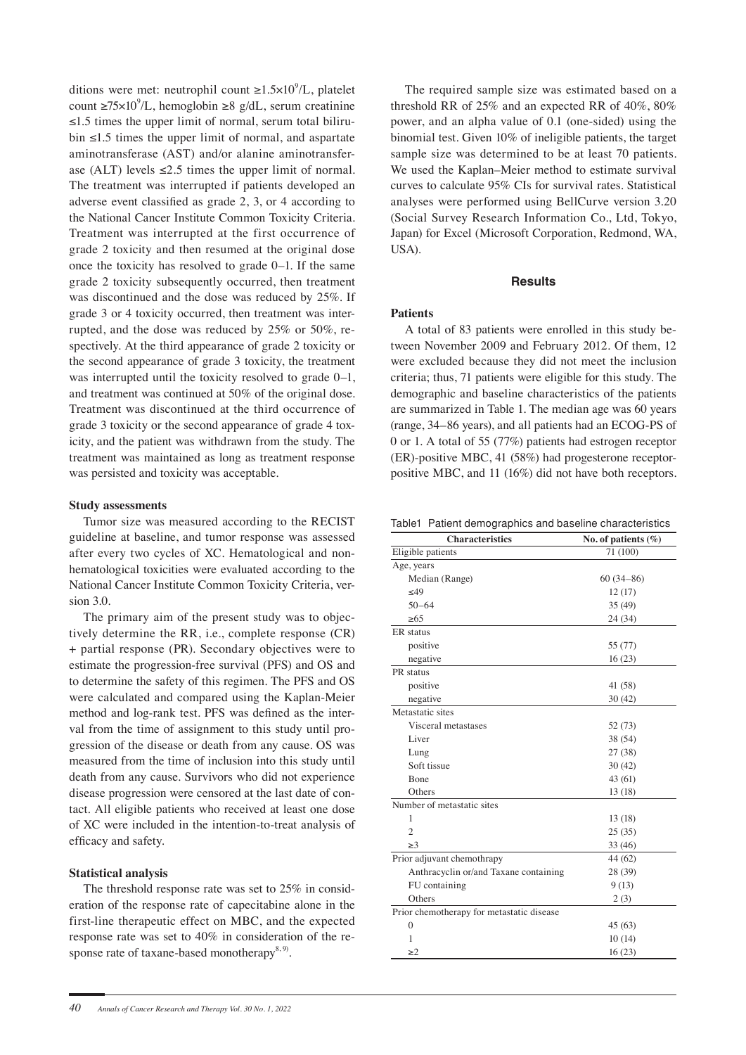ditions were met: neutrophil count  $\geq 1.5 \times 10^9$ /L, platelet count ≥75×10<sup>9</sup>/L, hemoglobin ≥8 g/dL, serum creatinine ≤1.5 times the upper limit of normal, serum total bilirubin ≤1.5 times the upper limit of normal, and aspartate aminotransferase (AST) and/or alanine aminotransferase (ALT) levels  $\leq 2.5$  times the upper limit of normal. The treatment was interrupted if patients developed an adverse event classified as grade 2, 3, or 4 according to the National Cancer Institute Common Toxicity Criteria. Treatment was interrupted at the first occurrence of grade 2 toxicity and then resumed at the original dose once the toxicity has resolved to grade 0–1. If the same grade 2 toxicity subsequently occurred, then treatment was discontinued and the dose was reduced by 25%. If grade 3 or 4 toxicity occurred, then treatment was interrupted, and the dose was reduced by 25% or 50%, respectively. At the third appearance of grade 2 toxicity or the second appearance of grade 3 toxicity, the treatment was interrupted until the toxicity resolved to grade 0–1, and treatment was continued at 50% of the original dose. Treatment was discontinued at the third occurrence of grade 3 toxicity or the second appearance of grade 4 toxicity, and the patient was withdrawn from the study. The treatment was maintained as long as treatment response was persisted and toxicity was acceptable.

# **Study assessments**

Tumor size was measured according to the RECIST guideline at baseline, and tumor response was assessed after every two cycles of XC. Hematological and nonhematological toxicities were evaluated according to the National Cancer Institute Common Toxicity Criteria, version 3.0.

The primary aim of the present study was to objectively determine the RR, i.e., complete response (CR) + partial response (PR). Secondary objectives were to estimate the progression-free survival (PFS) and OS and to determine the safety of this regimen. The PFS and OS were calculated and compared using the Kaplan-Meier method and log-rank test. PFS was defined as the interval from the time of assignment to this study until progression of the disease or death from any cause. OS was measured from the time of inclusion into this study until death from any cause. Survivors who did not experience disease progression were censored at the last date of contact. All eligible patients who received at least one dose of XC were included in the intention-to-treat analysis of efficacy and safety.

# **Statistical analysis**

The threshold response rate was set to 25% in consideration of the response rate of capecitabine alone in the first-line therapeutic effect on MBC, and the expected response rate was set to 40% in consideration of the response rate of taxane-based monotherapy $^{8, 9}$ .

The required sample size was estimated based on a threshold RR of 25% and an expected RR of 40%, 80% power, and an alpha value of 0.1 (one-sided) using the binomial test. Given 10% of ineligible patients, the target sample size was determined to be at least 70 patients. We used the Kaplan–Meier method to estimate survival curves to calculate 95% CIs for survival rates. Statistical analyses were performed using BellCurve version 3.20 (Social Survey Research Information Co., Ltd, Tokyo, Japan) for Excel (Microsoft Corporation, Redmond, WA, USA).

# **Results**

# **Patients**

A total of 83 patients were enrolled in this study between November 2009 and February 2012. Of them, 12 were excluded because they did not meet the inclusion criteria; thus, 71 patients were eligible for this study. The demographic and baseline characteristics of the patients are summarized in Table 1. The median age was 60 years (range, 34–86 years), and all patients had an ECOG-PS of 0 or 1. A total of 55 (77%) patients had estrogen receptor (ER)-positive MBC, 41 (58%) had progesterone receptorpositive MBC, and 11 (16%) did not have both receptors.

Table1 Patient demographics and baseline characteristics

| Eligible patients                         | 71 (100)    |
|-------------------------------------------|-------------|
|                                           |             |
| Age, years                                |             |
| Median (Range)                            | $60(34-86)$ |
| <49                                       | 12(17)      |
| $50 - 64$                                 | 35 (49)     |
| >65                                       | 24 (34)     |
| ER status                                 |             |
| positive                                  | 55 (77)     |
| negative                                  | 16(23)      |
| PR status                                 |             |
| positive                                  | 41 (58)     |
| negative                                  | 30(42)      |
| Metastatic sites                          |             |
| Visceral metastases                       | 52 (73)     |
| Liver                                     | 38 (54)     |
| Lung                                      | 27 (38)     |
| Soft tissue                               | 30(42)      |
| Bone                                      | 43 (61)     |
| Others                                    | 13 (18)     |
| Number of metastatic sites                |             |
| 1                                         | 13 (18)     |
| $\overline{2}$                            | 25(35)      |
| >3                                        | 33 (46)     |
| Prior adjuvant chemothrapy                | 44 (62)     |
| Anthracyclin or/and Taxane containing     | 28 (39)     |
| FU containing                             | 9(13)       |
| Others                                    | 2(3)        |
| Prior chemotherapy for metastatic disease |             |
| $\overline{0}$                            | 45 (63)     |
| 1                                         | 10(14)      |
| >2                                        | 16(23)      |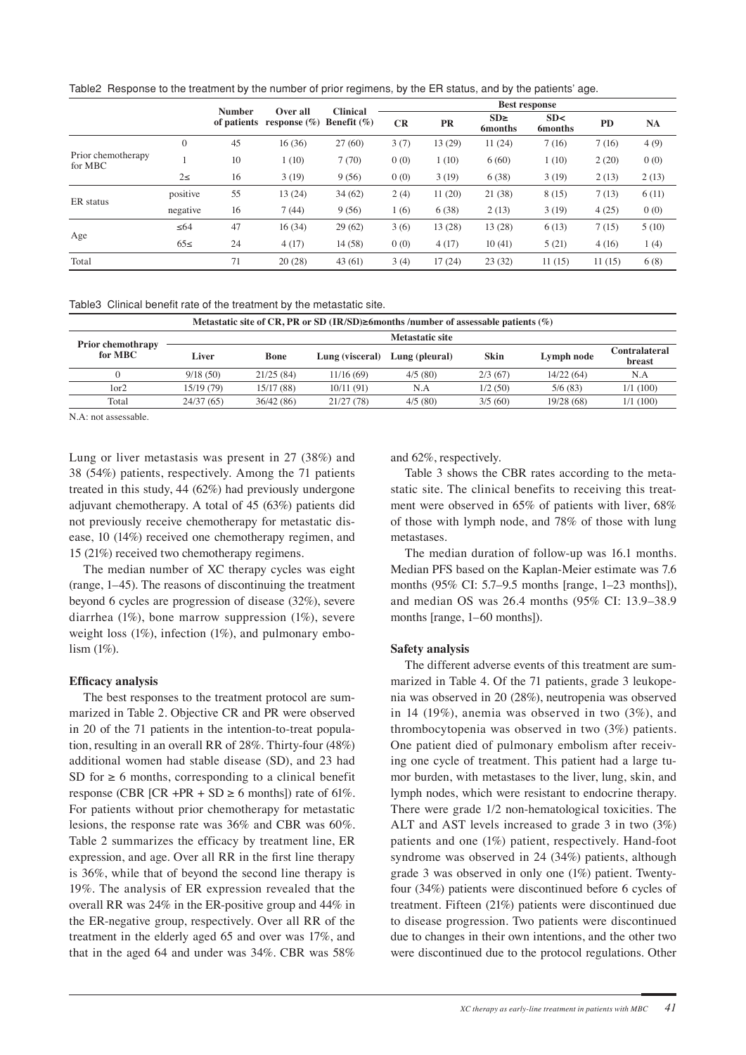Table2 Response to the treatment by the number of prior regimens, by the ER status, and by the patients' age.

|                               |           | <b>Number</b> | Over all                                   | <b>Clinical</b> | <b>Best response</b> |           |                             |                        |        |           |
|-------------------------------|-----------|---------------|--------------------------------------------|-----------------|----------------------|-----------|-----------------------------|------------------------|--------|-----------|
|                               |           |               | of patients response $(\%)$ Benefit $(\%)$ |                 | CR                   | <b>PR</b> | $SD \geq$<br><b>6months</b> | SD<<br><b>6</b> months | PD     | <b>NA</b> |
| Prior chemotherapy<br>for MBC | $\theta$  | 45            | 16(36)                                     | 27(60)          | 3(7)                 | 13 (29)   | 11(24)                      | 7(16)                  | 7(16)  | 4(9)      |
|                               |           | 10            | 1(10)                                      | 7(70)           | 0(0)                 | 1(10)     | 6(60)                       | 1(10)                  | 2(20)  | 0(0)      |
|                               | $2\leq$   | 16            | 3(19)                                      | 9(56)           | 0(0)                 | 3(19)     | 6(38)                       | 3(19)                  | 2(13)  | 2(13)     |
| ER status                     | positive  | 55            | 13(24)                                     | 34(62)          | 2(4)                 | 11(20)    | 21 (38)                     | 8(15)                  | 7(13)  | 6(11)     |
|                               | negative  | 16            | 7(44)                                      | 9(56)           | 1(6)                 | 6(38)     | 2(13)                       | 3(19)                  | 4(25)  | 0(0)      |
| Age                           | $\leq 64$ | 47            | 16(34)                                     | 29(62)          | 3(6)                 | 13(28)    | 13(28)                      | 6(13)                  | 7(15)  | 5(10)     |
|                               | $65 \le$  | 24            | 4(17)                                      | 14(58)          | 0(0)                 | 4(17)     | 10(41)                      | 5(21)                  | 4(16)  | 1(4)      |
| Total                         |           | 71            | 20(28)                                     | 43(61)          | 3(4)                 | 17(24)    | 23(32)                      | 11(15)                 | 11(15) | 6(8)      |

|                                     | Metastatic site |            |                 |                |         |            |                                |  |
|-------------------------------------|-----------------|------------|-----------------|----------------|---------|------------|--------------------------------|--|
| <b>Prior chemothrapy</b><br>for MBC | Liver           | Bone       | Lung (visceral) | Lung (pleural) | Skin    | Lymph node | <b>Contralateral</b><br>breast |  |
|                                     | 9/18(50)        | 21/25(84)  | 11/16(69)       | 4/5(80)        | 2/3(67) | 14/22(64)  | N.A                            |  |
| 1or2                                | 15/19 (79)      | 15/17 (88) | 10/11(91)       | N.A            | 1/2(50) | 5/6(83)    | 1/1(100)                       |  |
| Total                               | 24/37(65)       | 36/42(86)  | 21/27(78)       | 4/5(80)        | 3/5(60) | 19/28 (68) | 1/1(100)                       |  |
|                                     |                 |            |                 |                |         |            |                                |  |

N.A: not assessable.

Lung or liver metastasis was present in 27 (38%) and 38 (54%) patients, respectively. Among the 71 patients treated in this study, 44 (62%) had previously undergone adjuvant chemotherapy. A total of 45 (63%) patients did not previously receive chemotherapy for metastatic disease, 10 (14%) received one chemotherapy regimen, and 15 (21%) received two chemotherapy regimens.

The median number of XC therapy cycles was eight (range, 1–45). The reasons of discontinuing the treatment beyond 6 cycles are progression of disease (32%), severe diarrhea (1%), bone marrow suppression (1%), severe weight loss  $(1\%)$ , infection  $(1\%)$ , and pulmonary embolism (1%).

#### **Efficacy analysis**

The best responses to the treatment protocol are summarized in Table 2. Objective CR and PR were observed in 20 of the 71 patients in the intention-to-treat population, resulting in an overall RR of 28%. Thirty-four (48%) additional women had stable disease (SD), and 23 had SD for  $\geq 6$  months, corresponding to a clinical benefit response (CBR [CR +PR + SD  $\geq 6$  months]) rate of 61%. For patients without prior chemotherapy for metastatic lesions, the response rate was 36% and CBR was 60%. Table 2 summarizes the efficacy by treatment line, ER expression, and age. Over all RR in the first line therapy is 36%, while that of beyond the second line therapy is 19%. The analysis of ER expression revealed that the overall RR was 24% in the ER-positive group and 44% in the ER-negative group, respectively. Over all RR of the treatment in the elderly aged 65 and over was 17%, and that in the aged 64 and under was 34%. CBR was 58%

and 62%, respectively.

Table 3 shows the CBR rates according to the metastatic site. The clinical benefits to receiving this treatment were observed in 65% of patients with liver, 68% of those with lymph node, and 78% of those with lung metastases.

The median duration of follow-up was 16.1 months. Median PFS based on the Kaplan-Meier estimate was 7.6 months (95% CI: 5.7–9.5 months [range, 1–23 months]), and median OS was 26.4 months (95% CI: 13.9–38.9 months [range, 1–60 months]).

## **Safety analysis**

The different adverse events of this treatment are summarized in Table 4. Of the 71 patients, grade 3 leukopenia was observed in 20 (28%), neutropenia was observed in 14 (19%), anemia was observed in two (3%), and thrombocytopenia was observed in two (3%) patients. One patient died of pulmonary embolism after receiving one cycle of treatment. This patient had a large tumor burden, with metastases to the liver, lung, skin, and lymph nodes, which were resistant to endocrine therapy. There were grade 1/2 non-hematological toxicities. The ALT and AST levels increased to grade 3 in two (3%) patients and one (1%) patient, respectively. Hand-foot syndrome was observed in 24 (34%) patients, although grade 3 was observed in only one (1%) patient. Twentyfour (34%) patients were discontinued before 6 cycles of treatment. Fifteen (21%) patients were discontinued due to disease progression. Two patients were discontinued due to changes in their own intentions, and the other two were discontinued due to the protocol regulations. Other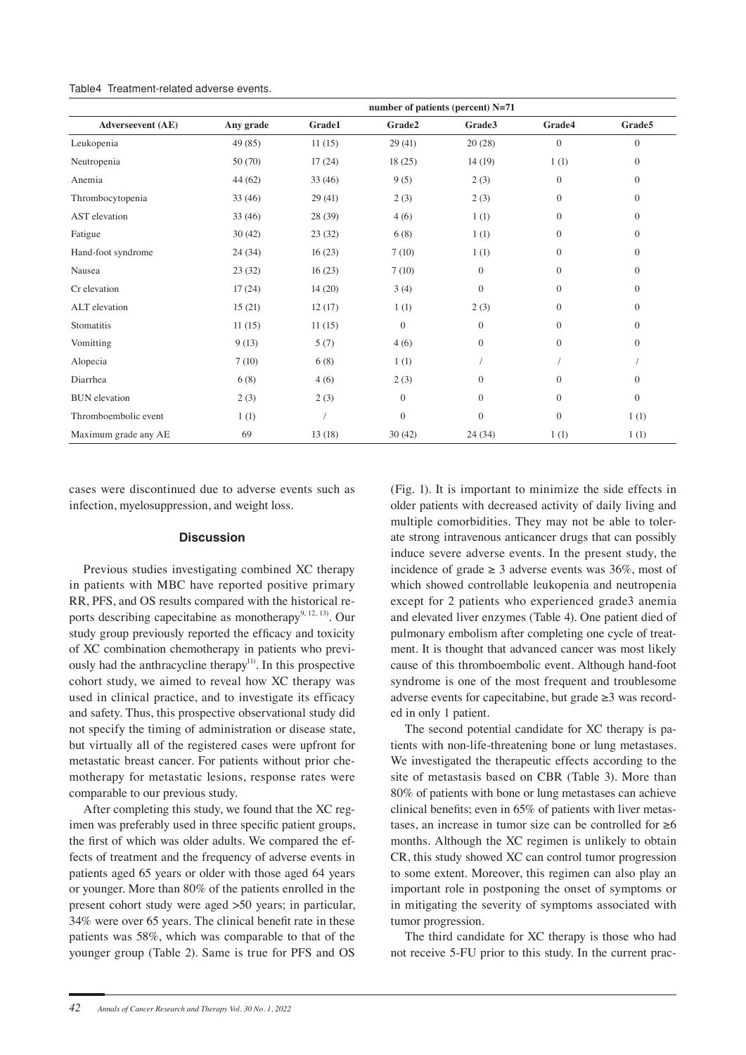| <b>Adverseevent</b> (AE) | number of patients (percent) N=71 |               |              |              |                |              |  |  |  |
|--------------------------|-----------------------------------|---------------|--------------|--------------|----------------|--------------|--|--|--|
|                          | Any grade                         | <b>Grade1</b> | Grade2       | Grade3       | Grade4         | Grade5       |  |  |  |
| Leukopenia               | 49 (85)                           | 11(15)        | 29 (41)      | 20(28)       | $\mathbf{0}$   | $\mathbf{0}$ |  |  |  |
| Neutropenia              | 50 (70)                           | 17(24)        | 18(25)       | 14(19)       | 1(1)           | $\Omega$     |  |  |  |
| Anemia                   | 44 (62)                           | 33(46)        | 9(5)         | 2(3)         | $\mathbf{0}$   | $\Omega$     |  |  |  |
| Thrombocytopenia         | 33(46)                            | 29(41)        | 2(3)         | 2(3)         | $\overline{0}$ | $\Omega$     |  |  |  |
| <b>AST</b> elevation     | 33(46)                            | 28 (39)       | 4(6)         | 1(1)         | $\overline{0}$ | $\mathbf{0}$ |  |  |  |
| Fatigue                  | 30(42)                            | 23(32)        | 6(8)         | 1(1)         | $\mathbf{0}$   | $\Omega$     |  |  |  |
| Hand-foot syndrome       | 24(34)                            | 16(23)        | 7(10)        | 1(1)         | $\overline{0}$ | $\mathbf{0}$ |  |  |  |
| Nausea                   | 23(32)                            | 16(23)        | 7(10)        | $\mathbf{0}$ | $\overline{0}$ | $\mathbf{0}$ |  |  |  |
| Cr elevation             | 17(24)                            | 14(20)        | 3(4)         | $\mathbf{0}$ | $\overline{0}$ | $\mathbf{0}$ |  |  |  |
| ALT elevation            | 15(21)                            | 12(17)        | 1(1)         | 2(3)         | $\overline{0}$ | $\mathbf{0}$ |  |  |  |
| Stomatitis               | 11(15)                            | 11(15)        | $\mathbf{0}$ | $\mathbf{0}$ | $\mathbf{0}$   | $\mathbf{0}$ |  |  |  |
| Vomitting                | 9(13)                             | 5(7)          | 4(6)         | $\mathbf{0}$ | $\mathbf{0}$   | $\mathbf{0}$ |  |  |  |
| Alopecia                 | 7(10)                             | 6(8)          | 1(1)         |              |                |              |  |  |  |
| Diarrhea                 | 6(8)                              | 4(6)          | 2(3)         | $\mathbf{0}$ | $\overline{0}$ | $\Omega$     |  |  |  |
| <b>BUN</b> elevation     | 2(3)                              | 2(3)          | $\Omega$     | $\mathbf{0}$ | $\overline{0}$ | $\mathbf{0}$ |  |  |  |
| Thromboembolic event     | 1(1)                              |               | $\Omega$     | $\mathbf{0}$ | $\mathbf{0}$   | 1(1)         |  |  |  |
| Maximum grade any AE     | 69                                | 13(18)        | 30(42)       | 24(34)       | 1(1)           | 1(1)         |  |  |  |

cases were discontinued due to adverse events such as infection, myelosuppression, and weight loss.

## **Discussion**

Previous studies investigating combined XC therapy in patients with MBC have reported positive primary RR, PFS, and OS results compared with the historical reports describing capecitabine as monotherapy<sup>9, 12, 13)</sup>. Our study group previously reported the efficacy and toxicity of XC combination chemotherapy in patients who previously had the anthracycline therapy<sup>11)</sup>. In this prospective cohort study, we aimed to reveal how XC therapy was used in clinical practice, and to investigate its efficacy and safety. Thus, this prospective observational study did not specify the timing of administration or disease state, but virtually all of the registered cases were upfront for metastatic breast cancer. For patients without prior chemotherapy for metastatic lesions, response rates were comparable to our previous study.

After completing this study, we found that the XC regimen was preferably used in three specific patient groups, the first of which was older adults. We compared the effects of treatment and the frequency of adverse events in patients aged 65 years or older with those aged 64 years or younger. More than 80% of the patients enrolled in the present cohort study were aged >50 years; in particular, 34% were over 65 years. The clinical benefit rate in these patients was 58%, which was comparable to that of the younger group (Table 2). Same is true for PFS and OS

(Fig. 1). It is important to minimize the side effects in older patients with decreased activity of daily living and multiple comorbidities. They may not be able to tolerate strong intravenous anticancer drugs that can possibly induce severe adverse events. In the present study, the incidence of grade  $\geq 3$  adverse events was 36%, most of which showed controllable leukopenia and neutropenia except for 2 patients who experienced grade3 anemia and elevated liver enzymes (Table 4). One patient died of pulmonary embolism after completing one cycle of treatment. It is thought that advanced cancer was most likely cause of this thromboembolic event. Although hand-foot syndrome is one of the most frequent and troublesome adverse events for capecitabine, but grade ≥3 was recorded in only 1 patient.

The second potential candidate for XC therapy is patients with non-life-threatening bone or lung metastases. We investigated the therapeutic effects according to the site of metastasis based on CBR (Table 3). More than 80% of patients with bone or lung metastases can achieve clinical benefits; even in 65% of patients with liver metastases, an increase in tumor size can be controlled for  $\geq 6$ months. Although the XC regimen is unlikely to obtain CR, this study showed XC can control tumor progression to some extent. Moreover, this regimen can also play an important role in postponing the onset of symptoms or in mitigating the severity of symptoms associated with tumor progression.

The third candidate for XC therapy is those who had not receive 5-FU prior to this study. In the current prac-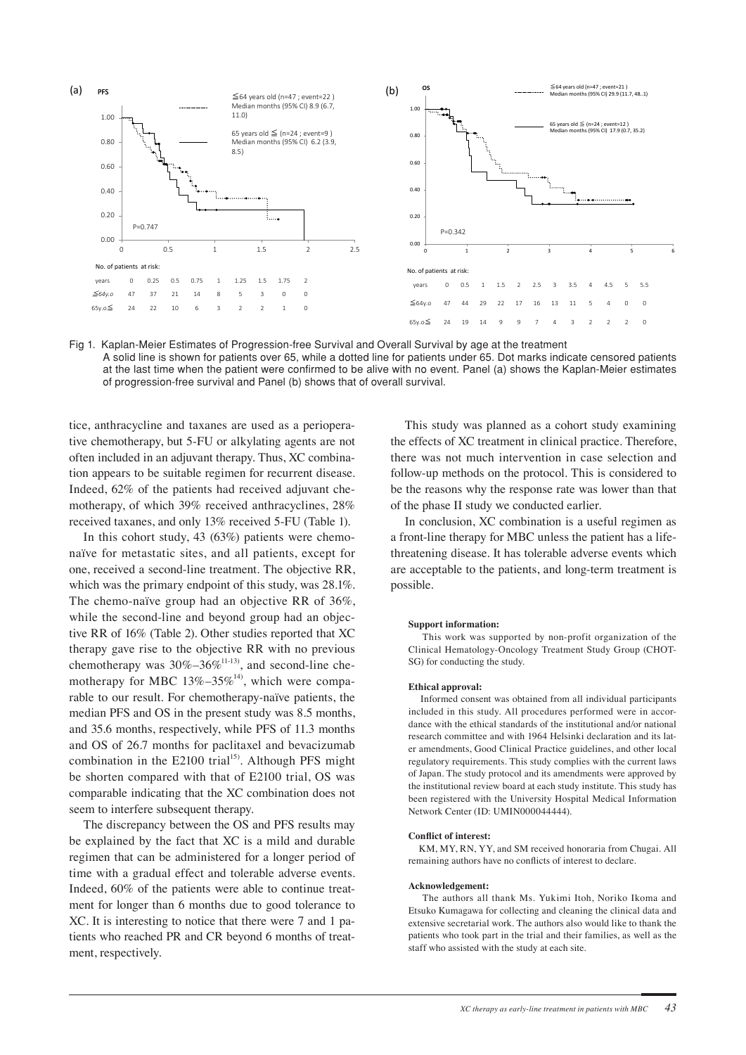

Fig 1. Kaplan-Meier Estimates of Progression-free Survival and Overall Survival by age at the treatment A solid line is shown for patients over 65, while a dotted line for patients under 65. Dot marks indicate censored patients at the last time when the patient were confirmed to be alive with no event. Panel (a) shows the Kaplan-Meier estimates of progression-free survival and Panel (b) shows that of overall survival.

tice, anthracycline and taxanes are used as a perioperative chemotherapy, but 5-FU or alkylating agents are not often included in an adjuvant therapy. Thus, XC combination appears to be suitable regimen for recurrent disease. Indeed, 62% of the patients had received adjuvant chemotherapy, of which 39% received anthracyclines, 28% received taxanes, and only 13% received 5-FU (Table 1).

In this cohort study, 43 (63%) patients were chemonaïve for metastatic sites, and all patients, except for one, received a second-line treatment. The objective RR, which was the primary endpoint of this study, was 28.1%. The chemo-naïve group had an objective RR of 36%, while the second-line and beyond group had an objective RR of 16% (Table 2). Other studies reported that XC therapy gave rise to the objective RR with no previous chemotherapy was  $30\% - 36\%$ <sup>11-13)</sup>, and second-line chemotherapy for MBC  $13\% - 35\%$ <sup>14</sup>, which were comparable to our result. For chemotherapy-naïve patients, the median PFS and OS in the present study was 8.5 months, and 35.6 months, respectively, while PFS of 11.3 months and OS of 26.7 months for paclitaxel and bevacizumab combination in the E2100 trial<sup>15)</sup>. Although PFS might be shorten compared with that of E2100 trial, OS was comparable indicating that the XC combination does not seem to interfere subsequent therapy.

The discrepancy between the OS and PFS results may be explained by the fact that XC is a mild and durable regimen that can be administered for a longer period of time with a gradual effect and tolerable adverse events. Indeed, 60% of the patients were able to continue treatment for longer than 6 months due to good tolerance to XC. It is interesting to notice that there were 7 and 1 patients who reached PR and CR beyond 6 months of treatment, respectively.

This study was planned as a cohort study examining the effects of XC treatment in clinical practice. Therefore, there was not much intervention in case selection and follow-up methods on the protocol. This is considered to be the reasons why the response rate was lower than that of the phase II study we conducted earlier.

In conclusion, XC combination is a useful regimen as a front-line therapy for MBC unless the patient has a lifethreatening disease. It has tolerable adverse events which are acceptable to the patients, and long-term treatment is possible.

#### **Support information:**

 This work was supported by non-profit organization of the Clinical Hematology-Oncology Treatment Study Group (CHOT-SG) for conducting the study.

#### **Ethical approval:**

 Informed consent was obtained from all individual participants included in this study. All procedures performed were in accordance with the ethical standards of the institutional and/or national research committee and with 1964 Helsinki declaration and its later amendments, Good Clinical Practice guidelines, and other local regulatory requirements. This study complies with the current laws of Japan. The study protocol and its amendments were approved by the institutional review board at each study institute. This study has been registered with the University Hospital Medical Information Network Center (ID: UMIN000044444).

#### **Conflict of interest:**

 KM, MY, RN, YY, and SM received honoraria from Chugai. All remaining authors have no conflicts of interest to declare.

#### **Acknowledgement:**

 The authors all thank Ms. Yukimi Itoh, Noriko Ikoma and Etsuko Kumagawa for collecting and cleaning the clinical data and extensive secretarial work. The authors also would like to thank the patients who took part in the trial and their families, as well as the staff who assisted with the study at each site.